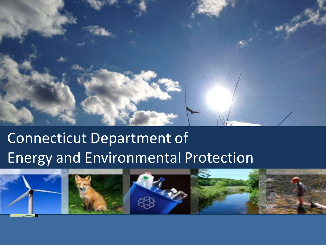

## Connecticut Department of **and Environmental Protection** Energy and Environmental Protection

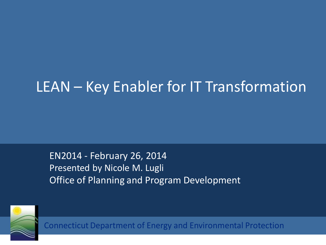## LEAN – Key Enabler for IT Transformation

EN2014 - February 26, 2014 Presented by Nicole M. Lugli Office of Planning and Program Development

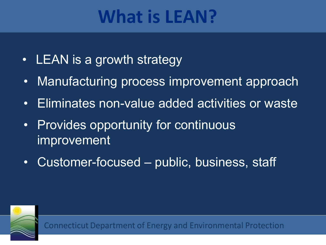## **What is LEAN?**

- LEAN is a growth strategy
- Manufacturing process improvement approach
- Eliminates non-value added activities or waste
- Provides opportunity for continuous improvement
- Customer-focused public, business, staff

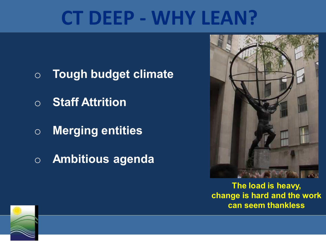## **CT DEEP - WHY LEAN?**

- o **Tough budget climate**
- o **Staff Attrition**
- o **Merging entities**
- o **Ambitious agenda**



**The load is heavy, change is hard and the work can seem thankless**

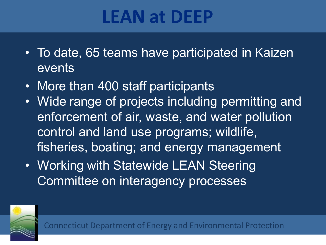## **LEAN at DEEP**

- To date, 65 teams have participated in Kaizen events
- More than 400 staff participants
- Wide range of projects including permitting and enforcement of air, waste, and water pollution control and land use programs; wildlife, fisheries, boating; and energy management
- Working with Statewide LEAN Steering Committee on interagency processes

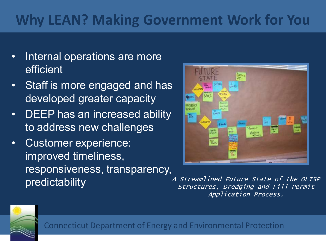## **Why LEAN? Making Government Work for You**

- Internal operations are more efficient
- Staff is more engaged and has developed greater capacity
- DEEP has an increased ability to address new challenges
- Customer experience: improved timeliness, responsiveness, transparency, predictability



A Streamlined Future State of the OLISP Structures, Dredging and Fill Permit Application Process.

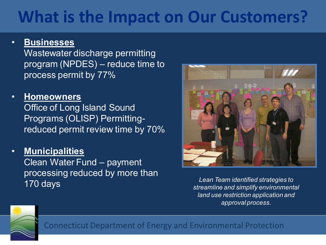## **What is the Impact on Our Customers?**

#### • **Businesses**

Wastewater discharge permitting program (NPDES) – reduce time to process permit by 77%

- **Homeowners**  Office of Long Island Sound Programs (OLISP) Permittingreduced permit review time by 70%
- **Municipalities**

Clean Water Fund – payment processing reduced by more than 170 days



*Lean Team identified strategies to streamline and simplify environmental land use restriction application and approval process.*

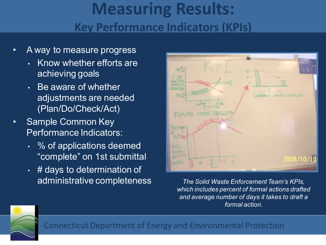## **Measuring Results: Key Performance Indicators (KPIs)**

- A way to measure progress
	- Know whether efforts are achieving goals
	- Be aware of whether adjustments are needed (Plan/Do/Check/Act)
- Sample Common Key Performance Indicators:
	- % of applications deemed "complete" on 1st submittal
	- # days to determination of administrative completeness



*The Solid Waste Enforcement Team's KPIs, which includes percent of formal actions drafted and average number of days it takes to draft a formal action.*

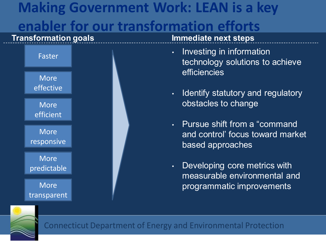## **Making Government Work: LEAN is a key enabler for our transformation efforts**



- Investing in information technology solutions to achieve efficiencies
- Identify statutory and regulatory obstacles to change
- Pursue shift from a "command and control' focus toward market based approaches
- Developing core metrics with measurable environmental and programmatic improvements

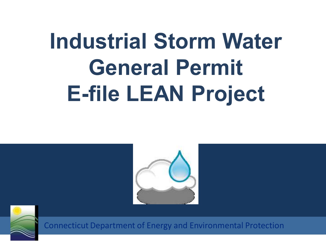# **Industrial Storm Water General Permit E-file LEAN Project**



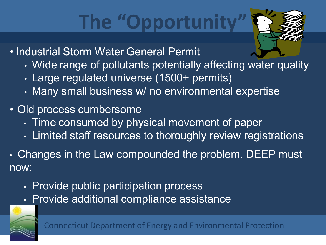## The "Opportunity



- Industrial Storm Water General Permit
	- Wide range of pollutants potentially affecting water quality
	- Large regulated universe (1500+ permits)
	- Many small business w/ no environmental expertise
- Old process cumbersome
	- Time consumed by physical movement of paper
	- Limited staff resources to thoroughly review registrations
- Changes in the Law compounded the problem. DEEP must now:
	- Provide public participation process
	- Provide additional compliance assistance

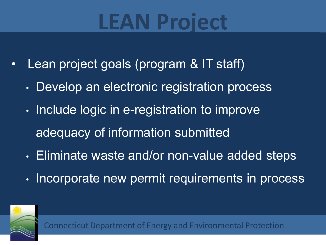## **LEAN Project**

- Lean project goals (program & IT staff)
	- Develop an electronic registration process
	- Include logic in e-registration to improve adequacy of information submitted
	- Eliminate waste and/or non-value added steps
	- Incorporate new permit requirements in process

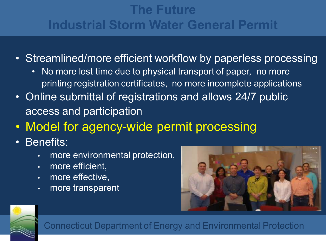### **The Future Industrial Storm Water General Permit**

- Streamlined/more efficient workflow by paperless processing
	- No more lost time due to physical transport of paper, no more printing registration certificates, no more incomplete applications
- Online submittal of registrations and allows 24/7 public access and participation
- Model for agency-wide permit processing
- Benefits:
	- more environmental protection,
	- more efficient,
	- more effective,
	- more transparent



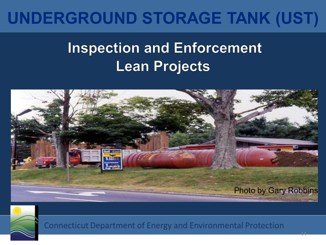## **UNDERGROUND STORAGE TANK (UST)**

## **Inspection and Enforcement Lean Projects**



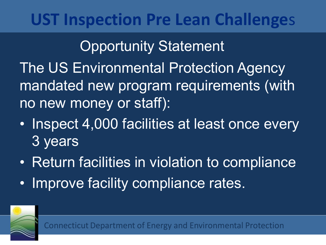## **UST Inspection Pre Lean Challenge**s

## Opportunity Statement

The US Environmental Protection Agency mandated new program requirements (with no new money or staff):

- Inspect 4,000 facilities at least once every 3 years
- Return facilities in violation to compliance
- Improve facility compliance rates.

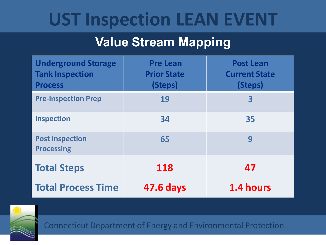## **UST Inspection LEAN EVENT**

### **Value Stream Mapping**

| <b>Underground Storage</b><br><b>Tank Inspection</b><br><b>Process</b> | <b>Pre Lean</b><br><b>Prior State</b><br>(Steps) | <b>Post Lean</b><br><b>Current State</b><br>(Steps) |
|------------------------------------------------------------------------|--------------------------------------------------|-----------------------------------------------------|
| <b>Pre-Inspection Prep</b>                                             | 19                                               | $\overline{\mathbf{3}}$                             |
| <b>Inspection</b>                                                      | 34                                               | 35                                                  |
| <b>Post Inspection</b><br><b>Processing</b>                            | 65                                               | 9                                                   |
| <b>Total Steps</b>                                                     | 118                                              | 47                                                  |
| <b>Total Process Time</b>                                              | <b>47.6 days</b>                                 | 1.4 hours                                           |

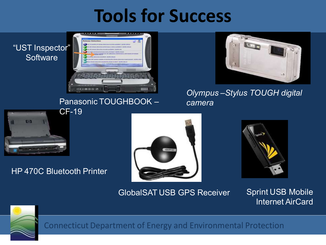## **Tools for Success**

#### "UST Inspector" **Software**



#### Panasonic TOUGHBOOK –



*Olympus –Stylus TOUGH digital camera*



#### HP 470C Bluetooth Printer





#### GlobalSAT USB GPS Receiver Sprint USB Mobile

Internet AirCard

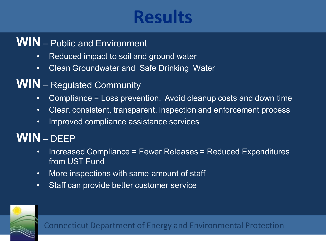## **Results**

#### **WIN** – Public and Environment

- Reduced impact to soil and ground water
- Clean Groundwater and Safe Drinking Water
- **WIN** Regulated Community
	- Compliance = Loss prevention. Avoid cleanup costs and down time
	- Clear, consistent, transparent, inspection and enforcement process
	- Improved compliance assistance services

### **WIN** – DEEP

- Increased Compliance = Fewer Releases = Reduced Expenditures from UST Fund
- More inspections with same amount of staff
- Staff can provide better customer service

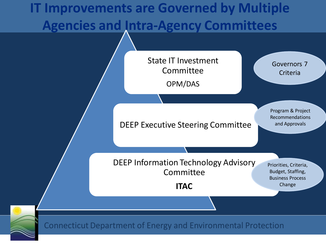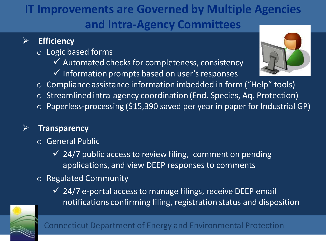### **IT Improvements are Governed by Multiple Agencies and Intra-Agency Committees**

#### **Efficiency**

- o Logic based forms
	- $\checkmark$  Automated checks for completeness, consistency
	- $\checkmark$  Information prompts based on user's responses
- $\circ$  Compliance assistance information imbedded in form ("Help" tools)
- o Streamlined intra-agency coordination (End. Species, Aq. Protection)
- $\circ$  Paperless-processing (\$15,390 saved per year in paper for Industrial GP)

#### **Transparency**

- o General Public
	- $\checkmark$  24/7 public access to review filing, comment on pending applications, and view DEEP responses to comments

#### o Regulated Community

 $\checkmark$  24/7 e-portal access to manage filings, receive DEEP email notifications confirming filing, registration status and disposition



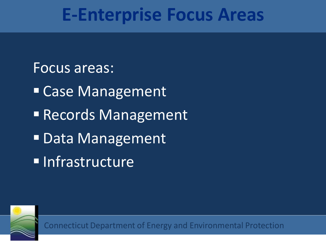## **E-Enterprise Focus Areas**

#### Focus areas:

- Case Management
- Records Management
- Data Management
- **Infrastructure**

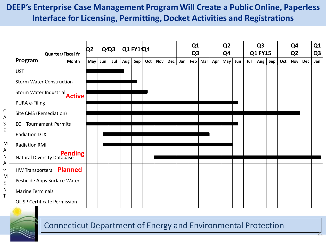#### **DEEP's Enterprise Case Management Program Will Create a Public Online, Paperless Interface for Licensing, Permitting, Docket Activities and Registrations**

|             | <b>Quarter/Fiscal Yr</b>                     | Q2  | $Q\ddot{Q}3$ |     | Q1 FY14Q4   |      |     |            | Q1<br>Q <sub>3</sub> |     | Q <sub>2</sub><br>Q4 |     |     | Q <sub>3</sub><br><b>Q1 FY15</b> |     |     | Q4<br>Q <sub>2</sub> |             |     | Q <sub>1</sub><br>Q <sub>3</sub> |            |     |
|-------------|----------------------------------------------|-----|--------------|-----|-------------|------|-----|------------|----------------------|-----|----------------------|-----|-----|----------------------------------|-----|-----|----------------------|-------------|-----|----------------------------------|------------|-----|
|             | Program<br><b>Month</b>                      | May | Jun          | Jul | Aug $\vert$ | Sep! | Oct | <b>Nov</b> | <b>Dec</b>           | Jan | Feb                  | Mar | Apr | May                              | Jun | Jul | Aug                  | $Sep \vert$ | Oct | <b>Nov</b>                       | <b>Dec</b> | Jan |
|             | <b>UST</b>                                   |     |              |     |             |      |     |            |                      |     |                      |     |     |                                  |     |     |                      |             |     |                                  |            |     |
|             | <b>Storm Water Construction</b>              |     |              |     |             |      |     |            |                      |     |                      |     |     |                                  |     |     |                      |             |     |                                  |            |     |
|             | Storm Water Industrial<br><b>Active</b>      |     |              |     |             |      |     |            |                      |     |                      |     |     |                                  |     |     |                      |             |     |                                  |            |     |
|             | PURA e-Filing                                |     |              |     |             |      |     |            |                      |     |                      |     |     |                                  |     |     |                      |             |     |                                  |            |     |
| C<br>A<br>S | Site CMS (Remediation)                       |     |              |     |             |      |     |            |                      |     |                      |     |     |                                  |     |     |                      |             |     |                                  |            |     |
|             | EC-Tournament Permits                        |     |              |     |             |      |     |            |                      |     |                      |     |     |                                  |     |     |                      |             |     |                                  |            |     |
| E.          | <b>Radiation DTX</b>                         |     |              |     |             |      |     |            |                      |     |                      |     |     |                                  |     |     |                      |             |     |                                  |            |     |
| M<br>А      | <b>Radiation RMI</b>                         |     |              |     |             |      |     |            |                      |     |                      |     |     |                                  |     |     |                      |             |     |                                  |            |     |
| N           | <b>Pending</b><br>Natural Diversity Database |     |              |     |             |      |     |            |                      |     |                      |     |     |                                  |     |     |                      |             |     |                                  |            |     |
| А<br>G      | <b>Planned</b><br><b>HW Transporters</b>     |     |              |     |             |      |     |            |                      |     |                      |     |     |                                  |     |     |                      |             |     |                                  |            |     |
| M<br>E      | Pesticide Apps Surface Water                 |     |              |     |             |      |     |            |                      |     |                      |     |     |                                  |     |     |                      |             |     |                                  |            |     |
| N<br>T      | <b>Marine Terminals</b>                      |     |              |     |             |      |     |            |                      |     |                      |     |     |                                  |     |     |                      |             |     |                                  |            |     |
|             | <b>OLISP Certificate Permission</b>          |     |              |     |             |      |     |            |                      |     |                      |     |     |                                  |     |     |                      |             |     |                                  |            |     |



S E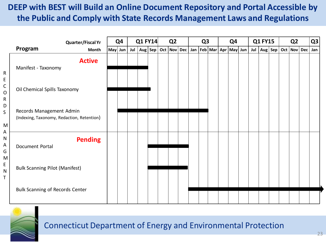#### **DEEP with BEST will Build an Online Document Repository and Portal Accessible by the Public and Comply with State Records Management Laws and Regulations**

|                            |                                                                        | <b>Quarter/Fiscal Yr</b> | Q4      |  | <b>Q1 FY14</b> |  | Q <sub>2</sub>  |  | Q <sub>3</sub> |  |  | Q <sub>4</sub> |  |  | <b>Q1 FY15</b>                                      |  |  | Q <sub>2</sub>                                  |  |  | Q <sub>3</sub> |  |     |
|----------------------------|------------------------------------------------------------------------|--------------------------|---------|--|----------------|--|-----------------|--|----------------|--|--|----------------|--|--|-----------------------------------------------------|--|--|-------------------------------------------------|--|--|----------------|--|-----|
|                            | Program                                                                | <b>Month</b>             | May Jun |  |                |  | Jul   Aug   Sep |  |                |  |  |                |  |  | Oct   Nov   Dec   Jan   Feb   Mar   Apr   May   Jun |  |  | Jul $\vert$ Aug $\vert$ Sep $\vert$ Oct $\vert$ |  |  | Nov Dec        |  | Jan |
| R<br>E                     | Manifest - Taxonomy                                                    | <b>Active</b>            |         |  |                |  |                 |  |                |  |  |                |  |  |                                                     |  |  |                                                 |  |  |                |  |     |
| C<br>$\mathsf O$<br>R<br>D | Oil Chemical Spills Taxonomy                                           |                          |         |  |                |  |                 |  |                |  |  |                |  |  |                                                     |  |  |                                                 |  |  |                |  |     |
| $\mathsf{S}$<br>M<br>А     | Records Management Admin<br>(Indexing, Taxonomy, Redaction, Retention) |                          |         |  |                |  |                 |  |                |  |  |                |  |  |                                                     |  |  |                                                 |  |  |                |  |     |
| N<br>А<br>G<br>M           | Document Portal                                                        | <b>Pending</b>           |         |  |                |  |                 |  |                |  |  |                |  |  |                                                     |  |  |                                                 |  |  |                |  |     |
| E<br>N<br>T                | <b>Bulk Scanning Pilot (Manifest)</b>                                  |                          |         |  |                |  |                 |  |                |  |  |                |  |  |                                                     |  |  |                                                 |  |  |                |  |     |
|                            | <b>Bulk Scanning of Records Center</b>                                 |                          |         |  |                |  |                 |  |                |  |  |                |  |  |                                                     |  |  |                                                 |  |  |                |  |     |

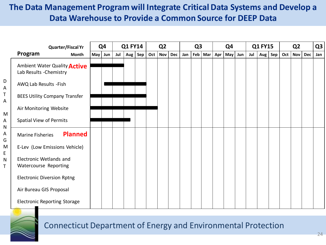#### **The Data Management Program will Integrate Critical Data Systems and Develop a Data Warehouse to Provide a Common Source for DEEP Data**

| <b>Quarter/Fiscal Yr</b>                                |     | Q <sub>4</sub> | <b>Q1 FY14</b> |     |     |     | Q <sub>2</sub> |     |     | Q <sub>3</sub> |           |     | Q4  |     |     | <b>Q1 FY15</b> |  |     | Q <sub>2</sub> |     |     |
|---------------------------------------------------------|-----|----------------|----------------|-----|-----|-----|----------------|-----|-----|----------------|-----------|-----|-----|-----|-----|----------------|--|-----|----------------|-----|-----|
| Program<br><b>Month</b>                                 | May | Jun            | Jul            | Aug | Sep | Oct | <b>Nov</b>     | Dec | Jan |                | $Feb$ Mar | Apr | May | Jun | Jul | Aug Sep        |  | Oct | <b>Nov</b>     | Dec | Jan |
| Ambient Water Quality Active<br>Lab Results - Chemistry |     |                |                |     |     |     |                |     |     |                |           |     |     |     |     |                |  |     |                |     |     |
| AWQ Lab Results - Fish                                  |     |                |                |     |     |     |                |     |     |                |           |     |     |     |     |                |  |     |                |     |     |
| <b>BEES Utility Company Transfer</b>                    |     |                |                |     |     |     |                |     |     |                |           |     |     |     |     |                |  |     |                |     |     |
| Air Monitoring Website                                  |     |                |                |     |     |     |                |     |     |                |           |     |     |     |     |                |  |     |                |     |     |
| Spatial View of Permits                                 |     |                |                |     |     |     |                |     |     |                |           |     |     |     |     |                |  |     |                |     |     |
| <b>Planned</b><br><b>Marine Fisheries</b>               |     |                |                |     |     |     |                |     |     |                |           |     |     |     |     |                |  |     |                |     |     |
| E-Lev (Low Emissions Vehicle)                           |     |                |                |     |     |     |                |     |     |                |           |     |     |     |     |                |  |     |                |     |     |
| Electronic Wetlands and<br>Watercourse Reporting        |     |                |                |     |     |     |                |     |     |                |           |     |     |     |     |                |  |     |                |     |     |
| <b>Electronic Diversion Rptng</b>                       |     |                |                |     |     |     |                |     |     |                |           |     |     |     |     |                |  |     |                |     |     |
| Air Bureau GIS Proposal                                 |     |                |                |     |     |     |                |     |     |                |           |     |     |     |     |                |  |     |                |     |     |
| <b>Electronic Reporting Storage</b>                     |     |                |                |     |     |     |                |     |     |                |           |     |     |     |     |                |  |     |                |     |     |



#### Connecticut Department of Energy and Environmental Protection

D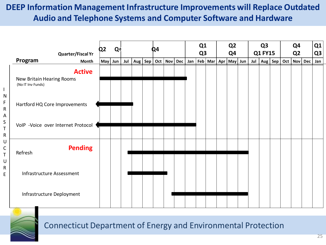#### **DEEP Information Management Infrastructure Improvements will Replace Outdated Audio and Telephone Systems and Computer Software and Hardware**

| <b>Quarter/Fiscal Yr</b>                                        | Q <sub>2</sub> | Q |     |  | Q4 |                                   | Q1<br>Q <sub>3</sub> |         | Q <sub>2</sub><br>Q4 |     | Q <sub>3</sub><br><b>Q1 FY15</b> |     | Q <sub>4</sub><br>Q <sub>2</sub> |         | Q <sub>1</sub><br>Q <sub>3</sub> |
|-----------------------------------------------------------------|----------------|---|-----|--|----|-----------------------------------|----------------------|---------|----------------------|-----|----------------------------------|-----|----------------------------------|---------|----------------------------------|
| Program<br>Month                                                | May Jun        |   | Jul |  |    | Aug   Sep   Oct   Nov   Dec   Jan |                      | Feb Mar | Apr   May   Jun      | Jul | Aug   Sep                        | Oct |                                  | Nov Dec | Jan                              |
| <b>Active</b><br>New Britain Hearing Rooms<br>(No IT Inv Funds) |                |   |     |  |    |                                   |                      |         |                      |     |                                  |     |                                  |         |                                  |
| Hartford HQ Core Improvements                                   |                |   |     |  |    |                                   |                      |         |                      |     |                                  |     |                                  |         |                                  |
| VoIP -Voice over Internet Protocol                              |                |   |     |  |    |                                   |                      |         |                      |     |                                  |     |                                  |         |                                  |
| <b>Pending</b><br>Refresh                                       |                |   |     |  |    |                                   |                      |         |                      |     |                                  |     |                                  |         |                                  |
| Infrastructure Assessment                                       |                |   |     |  |    |                                   |                      |         |                      |     |                                  |     |                                  |         |                                  |
| Infrastructure Deployment                                       |                |   |     |  |    |                                   |                      |         |                      |     |                                  |     |                                  |         |                                  |



I N F R A S T R U C T U R E